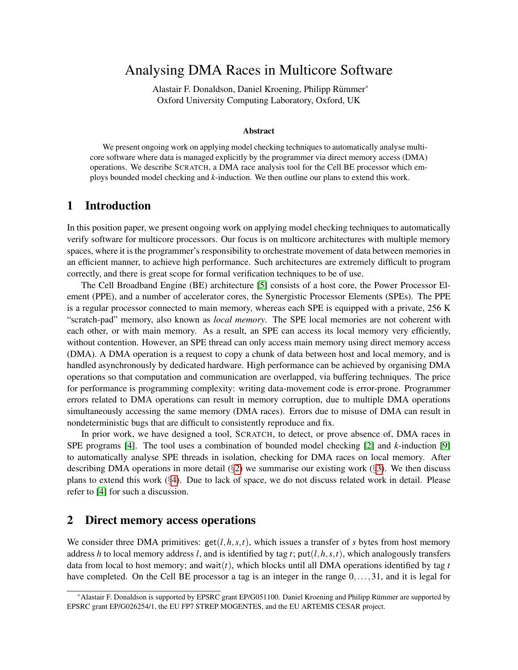# Analysing DMA Races in Multicore Software

Alastair F. Donaldson, Daniel Kroening, Philipp Rümmer\* Oxford University Computing Laboratory, Oxford, UK

#### Abstract

We present ongoing work on applying model checking techniques to automatically analyse multicore software where data is managed explicitly by the programmer via direct memory access (DMA) operations. We describe SCRATCH, a DMA race analysis tool for the Cell BE processor which employs bounded model checking and *k*-induction. We then outline our plans to extend this work.

## 1 Introduction

In this position paper, we present ongoing work on applying model checking techniques to automatically verify software for multicore processors. Our focus is on multicore architectures with multiple memory spaces, where it is the programmer's responsibility to orchestrate movement of data between memories in an efficient manner, to achieve high performance. Such architectures are extremely difficult to program correctly, and there is great scope for formal verification techniques to be of use.

The Cell Broadband Engine (BE) architecture [\[5\]](#page-4-0) consists of a host core, the Power Processor Element (PPE), and a number of accelerator cores, the Synergistic Processor Elements (SPEs). The PPE is a regular processor connected to main memory, whereas each SPE is equipped with a private, 256 K "scratch-pad" memory, also known as *local memory*. The SPE local memories are not coherent with each other, or with main memory. As a result, an SPE can access its local memory very efficiently, without contention. However, an SPE thread can only access main memory using direct memory access (DMA). A DMA operation is a request to copy a chunk of data between host and local memory, and is handled asynchronously by dedicated hardware. High performance can be achieved by organising DMA operations so that computation and communication are overlapped, via buffering techniques. The price for performance is programming complexity: writing data-movement code is error-prone. Programmer errors related to DMA operations can result in memory corruption, due to multiple DMA operations simultaneously accessing the same memory (DMA races). Errors due to misuse of DMA can result in nondeterministic bugs that are difficult to consistently reproduce and fix.

In prior work, we have designed a tool, SCRATCH, to detect, or prove absence of, DMA races in SPE programs [\[4\]](#page-4-1). The tool uses a combination of bounded model checking [\[2\]](#page-4-2) and *k*-induction [\[9\]](#page-4-3) to automatically analyse SPE threads in isolation, checking for DMA races on local memory. After describing DMA operations in more detail  $(\S 2)$  $(\S 2)$  we summarise our existing work  $(\S 3)$  $(\S 3)$ . We then discuss plans to extend this work (§[4\)](#page-3-0). Due to lack of space, we do not discuss related work in detail. Please refer to [\[4\]](#page-4-1) for such a discussion.

### <span id="page-0-0"></span>2 Direct memory access operations

We consider three DMA primitives:  $get(l, h, s, t)$ , which issues a transfer of *s* bytes from host memory address *h* to local memory address *l*, and is identified by tag *t*; put(*l*,*h*,*s*,*t*), which analogously transfers data from local to host memory; and wait(*t*), which blocks until all DMA operations identified by tag *t* have completed. On the Cell BE processor a tag is an integer in the range  $0, \ldots, 31$ , and it is legal for

<sup>∗</sup>Alastair F. Donaldson is supported by EPSRC grant EP/G051100. Daniel Kroening and Philipp Rummer are supported by ¨ EPSRC grant EP/G026254/1, the EU FP7 STREP MOGENTES, and the EU ARTEMIS CESAR project.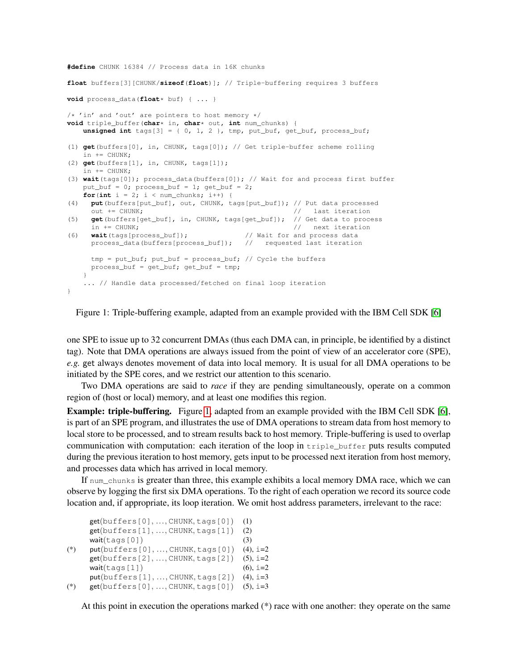**#define** CHUNK 16384 // Process data in 16K chunks

```
float buffers[3][CHUNK/sizeof(float)]; // Triple-buffering requires 3 buffers
void process_data(float* buf) { ... }
/* 'in' and 'out' are pointers to host memory */
void triple_buffer(char* in, char* out, int num_chunks) {
   unsigned int tags[3] = { 0, 1, 2 }, tmp, put_buf, get_buf, process_buf;
(1) get(buffers[0], in, CHUNK, tags[0]); // Get triple-buffer scheme rolling
   in += CHUNK:
(2) get(buffers[1], in, CHUNK, tags[1]);
   in += CHUNK;
(3) wait(tags[0]); process_data(buffers[0]); // Wait for and process first buffer
   put_buf = 0; process_buf = 1; get_buf = 2;
   for(int i = 2; i < num_{\text{chunks}}; i++) {
(4) put(buffers[put_buf], out, CHUNK, tags[put_buf]); // Put data processed
     out += CHUNK; \frac{1}{2} // last iteration
(5) get(buffers[get_buf], in, CHUNK, tags[get_buf]); // Get data to process
     in += CHUNK; \frac{1}{2} // next iteration
(6) wait(tags[process_buf]); // Wait for and process data
     process_data(buffers[process_buf]); // requested last iteration
     tmp = put_buf; put_buf = process_buf; // Cycle the buffers
     process\_buf = get\_buf; get\_buf = tmp;}
   ... // Handle data processed/fetched on final loop iteration
}
```
<span id="page-1-0"></span>Figure 1: Triple-buffering example, adapted from an example provided with the IBM Cell SDK [\[6\]](#page-4-4)

one SPE to issue up to 32 concurrent DMAs (thus each DMA can, in principle, be identified by a distinct tag). Note that DMA operations are always issued from the point of view of an accelerator core (SPE), *e.g.* get always denotes movement of data into local memory. It is usual for all DMA operations to be initiated by the SPE cores, and we restrict our attention to this scenario.

Two DMA operations are said to *race* if they are pending simultaneously, operate on a common region of (host or local) memory, and at least one modifies this region.

**Example: triple-buffering.** Figure [1,](#page-1-0) adapted from an example provided with the IBM Cell SDK [\[6\]](#page-4-4), is part of an SPE program, and illustrates the use of DMA operations to stream data from host memory to local store to be processed, and to stream results back to host memory. Triple-buffering is used to overlap communication with computation: each iteration of the loop in  $\text{triple\_buffer}$  puts results computed during the previous iteration to host memory, gets input to be processed next iteration from host memory, and processes data which has arrived in local memory.

If num\_chunks is greater than three, this example exhibits a local memory DMA race, which we can observe by logging the first six DMA operations. To the right of each operation we record its source code location and, if appropriate, its loop iteration. We omit host address parameters, irrelevant to the race:

```
get(buffers[0], ..., CHUNK, tags[0]) (1)
     get(buffers[1], ..., CHUNK, tags[1]) (2)
     wait(\text{tags}[0]) (3)
(*) put(buffers[0], ..., CHUNK, tags[0]) (4), i=2
     get(buffers[2], ..., CHUNK, tags[2]) (5), i=2
     wait(\text{tags}[1]) (6), i=2
     put(buffers[1], ..., CHUNK, tags[2]) (4), i=3
(*) get(bluffers[0], ..., CHUNK, tags[0]) (5), i=3
```
At this point in execution the operations marked (\*) race with one another: they operate on the same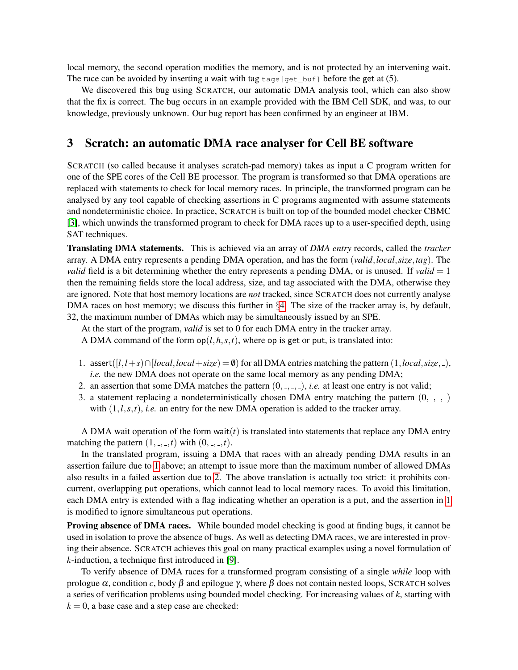local memory, the second operation modifies the memory, and is not protected by an intervening wait. The race can be avoided by inserting a wait with tag  $\text{tags}[get\_buf]$  before the get at (5).

We discovered this bug using SCRATCH, our automatic DMA analysis tool, which can also show that the fix is correct. The bug occurs in an example provided with the IBM Cell SDK, and was, to our knowledge, previously unknown. Our bug report has been confirmed by an engineer at IBM.

### <span id="page-2-0"></span>3 Scratch: an automatic DMA race analyser for Cell BE software

SCRATCH (so called because it analyses scratch-pad memory) takes as input a C program written for one of the SPE cores of the Cell BE processor. The program is transformed so that DMA operations are replaced with statements to check for local memory races. In principle, the transformed program can be analysed by any tool capable of checking assertions in C programs augmented with assume statements and nondeterministic choice. In practice, SCRATCH is built on top of the bounded model checker CBMC [\[3\]](#page-4-5), which unwinds the transformed program to check for DMA races up to a user-specified depth, using SAT techniques.

Translating DMA statements. This is achieved via an array of *DMA entry* records, called the *tracker* array. A DMA entry represents a pending DMA operation, and has the form (*valid*,*local*,*size*,*tag*). The *valid* field is a bit determining whether the entry represents a pending DMA, or is unused. If *valid*  $= 1$ then the remaining fields store the local address, size, and tag associated with the DMA, otherwise they are ignored. Note that host memory locations are *not* tracked, since SCRATCH does not currently analyse DMA races on host memory; we discuss this further in §[4.](#page-3-0) The size of the tracker array is, by default, 32, the maximum number of DMAs which may be simultaneously issued by an SPE.

At the start of the program, *valid* is set to 0 for each DMA entry in the tracker array.

A DMA command of the form  $op(l, h, s, t)$ , where op is get or put, is translated into:

- <span id="page-2-1"></span>1. assert( $[l, l+s) ∩ [local, local+size) = ∅$ ) for all DMA entries matching the pattern  $(1, local, size, ...)$ , *i.e.* the new DMA does not operate on the same local memory as any pending DMA;
- <span id="page-2-2"></span>2. an assertion that some DMA matches the pattern  $(0, 0, 0, 0)$ , *i.e.* at least one entry is not valid;
- 3. a statement replacing a nondeterministically chosen DMA entry matching the pattern  $(0, \ldots, \ldots)$ with  $(1, l, s, t)$ , *i.e.* an entry for the new DMA operation is added to the tracker array.

A DMA wait operation of the form wait $(t)$  is translated into statements that replace any DMA entry matching the pattern  $(1, \ldots, t)$  with  $(0, \ldots, t)$ .

In the translated program, issuing a DMA that races with an already pending DMA results in an assertion failure due to [1](#page-2-1) above; an attempt to issue more than the maximum number of allowed DMAs also results in a failed assertion due to [2.](#page-2-2) The above translation is actually too strict: it prohibits concurrent, overlapping put operations, which cannot lead to local memory races. To avoid this limitation, each DMA entry is extended with a flag indicating whether an operation is a put, and the assertion in [1](#page-2-1) is modified to ignore simultaneous put operations.

Proving absence of DMA races. While bounded model checking is good at finding bugs, it cannot be used in isolation to prove the absence of bugs. As well as detecting DMA races, we are interested in proving their absence. SCRATCH achieves this goal on many practical examples using a novel formulation of *k*-induction, a technique first introduced in [\[9\]](#page-4-3).

To verify absence of DMA races for a transformed program consisting of a single *while* loop with prologue  $\alpha$ , condition *c*, body  $\beta$  and epilogue  $\gamma$ , where  $\beta$  does not contain nested loops, SCRATCH solves a series of verification problems using bounded model checking. For increasing values of *k*, starting with  $k = 0$ , a base case and a step case are checked: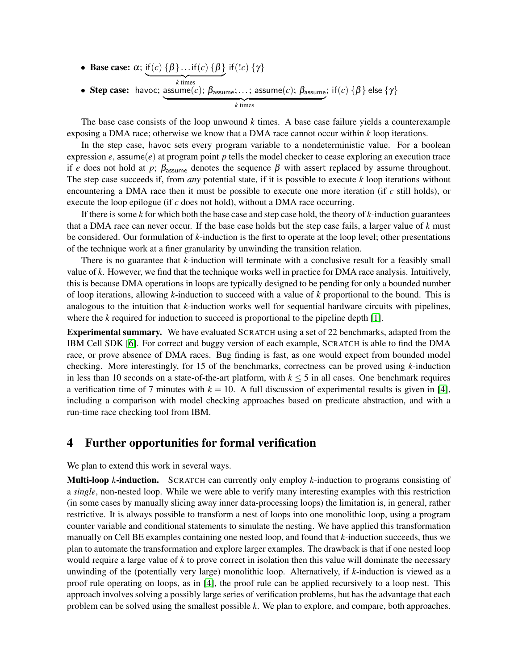• Base case:  $\alpha$ ; if  $(c)$   $\{\beta\}$ ...if  $(c)$   $\{\beta\}$  *times* if(!*c*) {γ} • Step case: havoc; assume $(c)$ ;  $\beta_{\text{assume}}; \ldots$ ; assume $(c)$ ;  $\beta_{\text{assume}}$  *times* ; if $(c)$   $\{\pmb{\beta}\}$  else  $\{\pmb{\gamma}\}$ 

The base case consists of the loop unwound *k* times. A base case failure yields a counterexample exposing a DMA race; otherwise we know that a DMA race cannot occur within *k* loop iterations.

In the step case, havoc sets every program variable to a nondeterministic value. For a boolean expression  $e$ , assume( $e$ ) at program point  $p$  tells the model checker to cease exploring an execution trace if *e* does not hold at *p*;  $\beta_{\text{assume}}$  denotes the sequence  $\beta$  with assert replaced by assume throughout. The step case succeeds if, from *any* potential state, if it is possible to execute *k* loop iterations without encountering a DMA race then it must be possible to execute one more iteration (if *c* still holds), or execute the loop epilogue (if *c* does not hold), without a DMA race occurring.

If there is some *k* for which both the base case and step case hold, the theory of *k*-induction guarantees that a DMA race can never occur. If the base case holds but the step case fails, a larger value of *k* must be considered. Our formulation of *k*-induction is the first to operate at the loop level; other presentations of the technique work at a finer granularity by unwinding the transition relation.

There is no guarantee that *k*-induction will terminate with a conclusive result for a feasibly small value of *k*. However, we find that the technique works well in practice for DMA race analysis. Intuitively, this is because DMA operations in loops are typically designed to be pending for only a bounded number of loop iterations, allowing *k*-induction to succeed with a value of *k* proportional to the bound. This is analogous to the intuition that *k*-induction works well for sequential hardware circuits with pipelines, where the *k* required for induction to succeed is proportional to the pipeline depth [\[1\]](#page-4-6).

Experimental summary. We have evaluated SCRATCH using a set of 22 benchmarks, adapted from the IBM Cell SDK [\[6\]](#page-4-4). For correct and buggy version of each example, SCRATCH is able to find the DMA race, or prove absence of DMA races. Bug finding is fast, as one would expect from bounded model checking. More interestingly, for 15 of the benchmarks, correctness can be proved using *k*-induction in less than 10 seconds on a state-of-the-art platform, with  $k \leq 5$  in all cases. One benchmark requires a verification time of 7 minutes with  $k = 10$ . A full discussion of experimental results is given in [\[4\]](#page-4-1), including a comparison with model checking approaches based on predicate abstraction, and with a run-time race checking tool from IBM.

#### <span id="page-3-0"></span>4 Further opportunities for formal verification

We plan to extend this work in several ways.

Multi-loop *k*-induction. SCRATCH can currently only employ *k*-induction to programs consisting of a *single*, non-nested loop. While we were able to verify many interesting examples with this restriction (in some cases by manually slicing away inner data-processing loops) the limitation is, in general, rather restrictive. It is always possible to transform a nest of loops into one monolithic loop, using a program counter variable and conditional statements to simulate the nesting. We have applied this transformation manually on Cell BE examples containing one nested loop, and found that *k*-induction succeeds, thus we plan to automate the transformation and explore larger examples. The drawback is that if one nested loop would require a large value of *k* to prove correct in isolation then this value will dominate the necessary unwinding of the (potentially very large) monolithic loop. Alternatively, if *k*-induction is viewed as a proof rule operating on loops, as in [\[4\]](#page-4-1), the proof rule can be applied recursively to a loop nest. This approach involves solving a possibly large series of verification problems, but has the advantage that each problem can be solved using the smallest possible *k*. We plan to explore, and compare, both approaches.